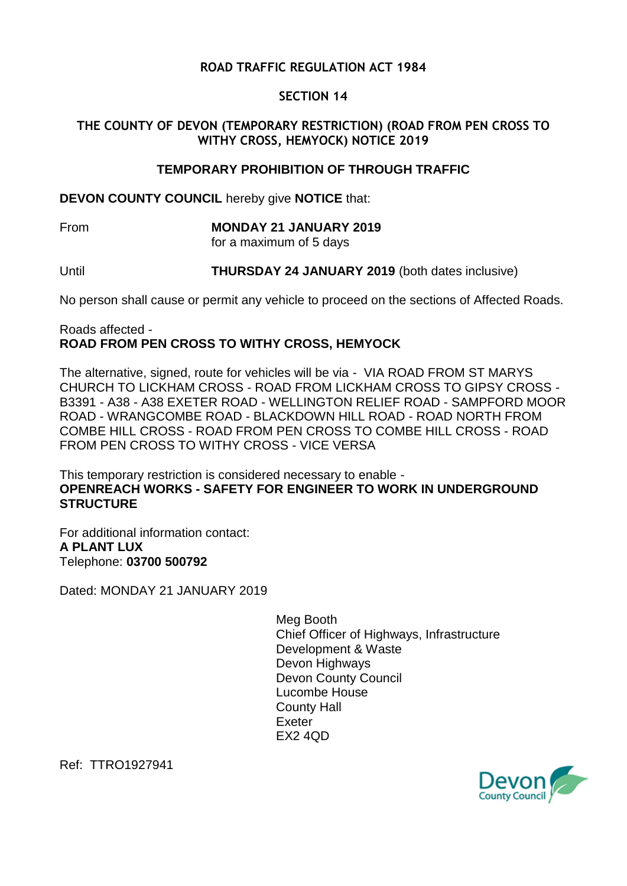## **ROAD TRAFFIC REGULATION ACT 1984**

### **SECTION 14**

## **THE COUNTY OF DEVON (TEMPORARY RESTRICTION) (ROAD FROM PEN CROSS TO WITHY CROSS, HEMYOCK) NOTICE 2019**

#### **TEMPORARY PROHIBITION OF THROUGH TRAFFIC**

**DEVON COUNTY COUNCIL** hereby give **NOTICE** that:

# From **MONDAY 21 JANUARY 2019**

for a maximum of 5 days

Until **THURSDAY 24 JANUARY 2019** (both dates inclusive)

No person shall cause or permit any vehicle to proceed on the sections of Affected Roads.

#### Roads affected - **ROAD FROM PEN CROSS TO WITHY CROSS, HEMYOCK**

The alternative, signed, route for vehicles will be via - VIA ROAD FROM ST MARYS CHURCH TO LICKHAM CROSS - ROAD FROM LICKHAM CROSS TO GIPSY CROSS - B3391 - A38 - A38 EXETER ROAD - WELLINGTON RELIEF ROAD - SAMPFORD MOOR ROAD - WRANGCOMBE ROAD - BLACKDOWN HILL ROAD - ROAD NORTH FROM COMBE HILL CROSS - ROAD FROM PEN CROSS TO COMBE HILL CROSS - ROAD FROM PEN CROSS TO WITHY CROSS - VICE VERSA

This temporary restriction is considered necessary to enable - **OPENREACH WORKS - SAFETY FOR ENGINEER TO WORK IN UNDERGROUND STRUCTURE**

For additional information contact: **A PLANT LUX** Telephone: **03700 500792**

Dated: MONDAY 21 JANUARY 2019

Meg Booth Chief Officer of Highways, Infrastructure Development & Waste Devon Highways Devon County Council Lucombe House County Hall Exeter EX2 4QD



Ref: TTRO1927941